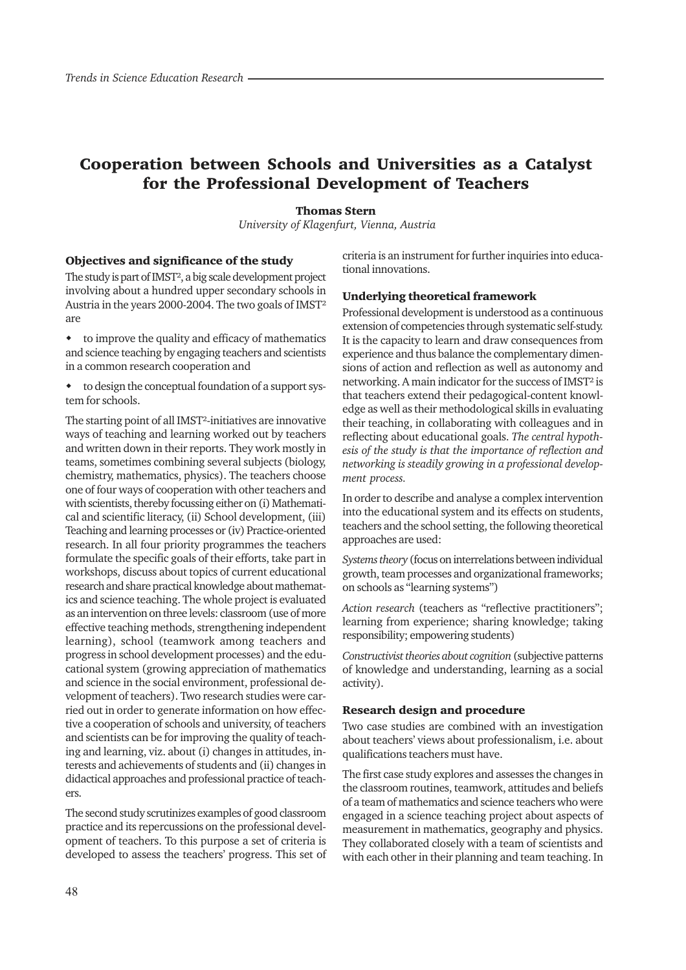# Cooperation between Schools and Universities as a Catalyst for the Professional Development of Teachers

## Thomas Stern

 *University of Klagenfurt, Vienna, Austria*

#### Objectives and significance of the study

The study is part of IMST², a big scale development project involving about a hundred upper secondary schools in Austria in the years 2000-2004. The two goals of IMST<sup>2</sup> are

 to improve the quality and efficacy of mathematics and science teaching by engaging teachers and scientists in a common research cooperation and

 to design the conceptual foundation of a support system for schools.

The starting point of all IMST²-initiatives are innovative ways of teaching and learning worked out by teachers and written down in their reports. They work mostly in teams, sometimes combining several subjects (biology, chemistry, mathematics, physics). The teachers choose one of four ways of cooperation with other teachers and with scientists, thereby focussing either on (i) Mathematical and scientific literacy, (ii) School development, (iii) Teaching and learning processes or (iv) Practice-oriented research. In all four priority programmes the teachers formulate the specific goals of their efforts, take part in workshops, discuss about topics of current educational research and share practical knowledge about mathematics and science teaching. The whole project is evaluated as an intervention on three levels: classroom (use of more effective teaching methods, strengthening independent learning), school (teamwork among teachers and progress in school development processes) and the educational system (growing appreciation of mathematics and science in the social environment, professional development of teachers). Two research studies were carried out in order to generate information on how effective a cooperation of schools and university, of teachers and scientists can be for improving the quality of teaching and learning, viz. about (i) changes in attitudes, interests and achievements of students and (ii) changes in didactical approaches and professional practice of teachers.

The second study scrutinizes examples of good classroom practice and its repercussions on the professional development of teachers. To this purpose a set of criteria is developed to assess the teachers' progress. This set of criteria is an instrument for further inquiries into educational innovations.

#### Underlying theoretical framework

Professional development is understood as a continuous extension of competencies through systematic self-study. It is the capacity to learn and draw consequences from experience and thus balance the complementary dimensions of action and reflection as well as autonomy and networking. A main indicator for the success of IMST² is that teachers extend their pedagogical-content knowledge as well as their methodological skills in evaluating their teaching, in collaborating with colleagues and in reflecting about educational goals. *The central hypothesis of the study is that the importance of reflection and networking is steadily growing in a professional development process.*

In order to describe and analyse a complex intervention into the educational system and its effects on students, teachers and the school setting, the following theoretical approaches are used:

*Systems theory* (focus on interrelations between individual growth, team processes and organizational frameworks; on schools as "learning systems")

*Action research* (teachers as "reflective practitioners"; learning from experience; sharing knowledge; taking responsibility; empowering students)

*Constructivist theories about cognition* (subjective patterns of knowledge and understanding, learning as a social activity).

### Research design and procedure

Two case studies are combined with an investigation about teachers' views about professionalism, i.e. about qualifications teachers must have.

The first case study explores and assesses the changes in the classroom routines, teamwork, attitudes and beliefs of a team of mathematics and science teachers who were engaged in a science teaching project about aspects of measurement in mathematics, geography and physics. They collaborated closely with a team of scientists and with each other in their planning and team teaching. In